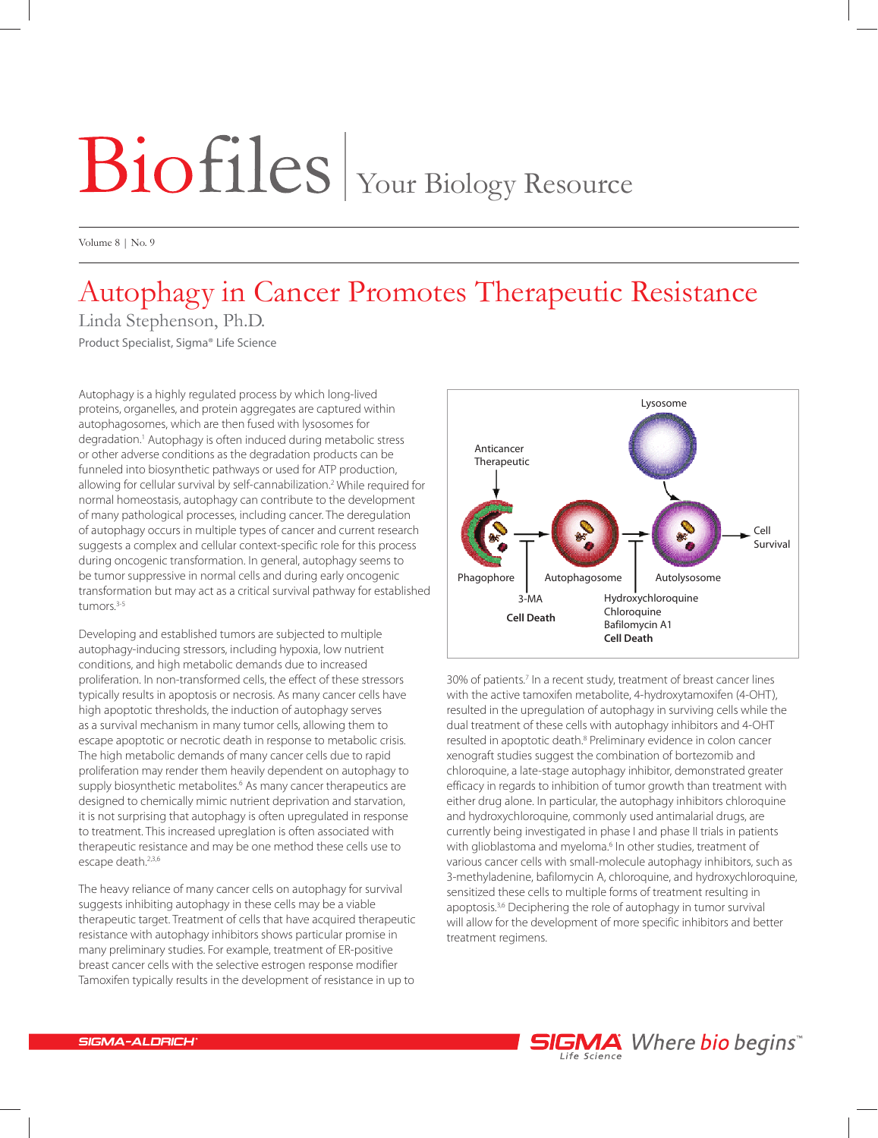## Biofiles | Your Biology Resource

Volume 8 | No. 9

## Autophagy in Cancer Promotes Therapeutic Resistance

Linda Stephenson, Ph.D. Product Specialist, Sigma® Life Science

Autophagy is a highly regulated process by which long-lived proteins, organelles, and protein aggregates are captured within autophagosomes, which are then fused with lysosomes for degradation.1 Autophagy is often induced during metabolic stress or other adverse conditions as the degradation products can be funneled into biosynthetic pathways or used for ATP production, allowing for cellular survival by self-cannabilization.2 While required for normal homeostasis, autophagy can contribute to the development of many pathological processes, including cancer. The deregulation of autophagy occurs in multiple types of cancer and current research suggests a complex and cellular context-specific role for this process during oncogenic transformation. In general, autophagy seems to be tumor suppressive in normal cells and during early oncogenic transformation but may act as a critical survival pathway for established tumors.<sup>3-5</sup>

Developing and established tumors are subjected to multiple autophagy-inducing stressors, including hypoxia, low nutrient conditions, and high metabolic demands due to increased proliferation. In non-transformed cells, the effect of these stressors typically results in apoptosis or necrosis. As many cancer cells have high apoptotic thresholds, the induction of autophagy serves as a survival mechanism in many tumor cells, allowing them to escape apoptotic or necrotic death in response to metabolic crisis. The high metabolic demands of many cancer cells due to rapid proliferation may render them heavily dependent on autophagy to supply biosynthetic metabolites.<sup>6</sup> As many cancer therapeutics are designed to chemically mimic nutrient deprivation and starvation, it is not surprising that autophagy is often upregulated in response to treatment. This increased upreglation is often associated with therapeutic resistance and may be one method these cells use to escape death.<sup>2,3,6</sup>

The heavy reliance of many cancer cells on autophagy for survival suggests inhibiting autophagy in these cells may be a viable therapeutic target. Treatment of cells that have acquired therapeutic resistance with autophagy inhibitors shows particular promise in many preliminary studies. For example, treatment of ER-positive breast cancer cells with the selective estrogen response modifier Tamoxifen typically results in the development of resistance in up to



30% of patients.<sup>7</sup> In a recent study, treatment of breast cancer lines with the active tamoxifen metabolite, 4-hydroxytamoxifen (4-OHT), resulted in the upregulation of autophagy in surviving cells while the dual treatment of these cells with autophagy inhibitors and 4-OHT resulted in apoptotic death.<sup>8</sup> Preliminary evidence in colon cancer xenograft studies suggest the combination of bortezomib and chloroquine, a late-stage autophagy inhibitor, demonstrated greater efficacy in regards to inhibition of tumor growth than treatment with either drug alone. In particular, the autophagy inhibitors chloroquine and hydroxychloroquine, commonly used antimalarial drugs, are currently being investigated in phase I and phase II trials in patients with glioblastoma and myeloma.<sup>6</sup> In other studies, treatment of various cancer cells with small-molecule autophagy inhibitors, such as 3-methyladenine, bafilomycin A, chloroquine, and hydroxychloroquine, sensitized these cells to multiple forms of treatment resulting in apoptosis.3,6 Deciphering the role of autophagy in tumor survival will allow for the development of more specific inhibitors and better treatment regimens.